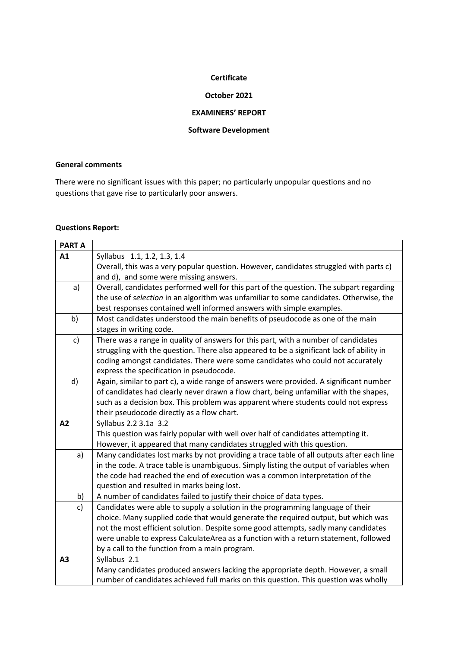#### **Certificate**

## **October 2021**

## **EXAMINERS' REPORT**

### **Software Development**

## **General comments**

There were no significant issues with this paper; no particularly unpopular questions and no questions that gave rise to particularly poor answers.

# **Questions Report:**

| <b>PART A</b> |                                                                                                                                                                         |
|---------------|-------------------------------------------------------------------------------------------------------------------------------------------------------------------------|
| A1            | Syllabus 1.1, 1.2, 1.3, 1.4                                                                                                                                             |
|               | Overall, this was a very popular question. However, candidates struggled with parts c)                                                                                  |
|               | and d), and some were missing answers.                                                                                                                                  |
| a)            | Overall, candidates performed well for this part of the question. The subpart regarding                                                                                 |
|               | the use of selection in an algorithm was unfamiliar to some candidates. Otherwise, the                                                                                  |
|               | best responses contained well informed answers with simple examples.                                                                                                    |
| b)            | Most candidates understood the main benefits of pseudocode as one of the main                                                                                           |
|               | stages in writing code.                                                                                                                                                 |
| $\mathsf{c}$  | There was a range in quality of answers for this part, with a number of candidates                                                                                      |
|               | struggling with the question. There also appeared to be a significant lack of ability in                                                                                |
|               | coding amongst candidates. There were some candidates who could not accurately                                                                                          |
|               | express the specification in pseudocode.                                                                                                                                |
| d)            | Again, similar to part c), a wide range of answers were provided. A significant number                                                                                  |
|               | of candidates had clearly never drawn a flow chart, being unfamiliar with the shapes,                                                                                   |
|               | such as a decision box. This problem was apparent where students could not express                                                                                      |
|               | their pseudocode directly as a flow chart.                                                                                                                              |
| A2            | Syllabus 2.2 3.1a 3.2                                                                                                                                                   |
|               | This question was fairly popular with well over half of candidates attempting it.                                                                                       |
|               | However, it appeared that many candidates struggled with this question.                                                                                                 |
| a)            | Many candidates lost marks by not providing a trace table of all outputs after each line                                                                                |
|               | in the code. A trace table is unambiguous. Simply listing the output of variables when                                                                                  |
|               | the code had reached the end of execution was a common interpretation of the                                                                                            |
|               | question and resulted in marks being lost.                                                                                                                              |
| b)            | A number of candidates failed to justify their choice of data types.                                                                                                    |
| $\mathsf{c}$  | Candidates were able to supply a solution in the programming language of their                                                                                          |
|               | choice. Many supplied code that would generate the required output, but which was<br>not the most efficient solution. Despite some good attempts, sadly many candidates |
|               | were unable to express CalculateArea as a function with a return statement, followed                                                                                    |
|               | by a call to the function from a main program.                                                                                                                          |
| A3            | Syllabus 2.1                                                                                                                                                            |
|               | Many candidates produced answers lacking the appropriate depth. However, a small                                                                                        |
|               | number of candidates achieved full marks on this question. This question was wholly                                                                                     |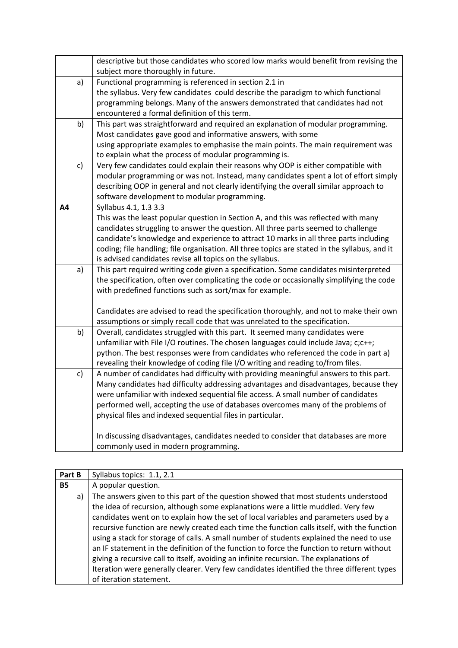|    |    | descriptive but those candidates who scored low marks would benefit from revising the         |
|----|----|-----------------------------------------------------------------------------------------------|
|    |    | subject more thoroughly in future.                                                            |
|    | a) | Functional programming is referenced in section 2.1 in                                        |
|    |    | the syllabus. Very few candidates could describe the paradigm to which functional             |
|    |    | programming belongs. Many of the answers demonstrated that candidates had not                 |
|    |    | encountered a formal definition of this term.                                                 |
|    | b) | This part was straightforward and required an explanation of modular programming.             |
|    |    | Most candidates gave good and informative answers, with some                                  |
|    |    | using appropriate examples to emphasise the main points. The main requirement was             |
|    |    | to explain what the process of modular programming is.                                        |
|    | c) | Very few candidates could explain their reasons why OOP is either compatible with             |
|    |    | modular programming or was not. Instead, many candidates spent a lot of effort simply         |
|    |    | describing OOP in general and not clearly identifying the overall similar approach to         |
|    |    | software development to modular programming.                                                  |
| Α4 |    | Syllabus 4.1, 1.3 3.3                                                                         |
|    |    | This was the least popular question in Section A, and this was reflected with many            |
|    |    | candidates struggling to answer the question. All three parts seemed to challenge             |
|    |    | candidate's knowledge and experience to attract 10 marks in all three parts including         |
|    |    | coding; file handling; file organisation. All three topics are stated in the syllabus, and it |
|    |    | is advised candidates revise all topics on the syllabus.                                      |
|    | a) | This part required writing code given a specification. Some candidates misinterpreted         |
|    |    | the specification, often over complicating the code or occasionally simplifying the code      |
|    |    | with predefined functions such as sort/max for example.                                       |
|    |    |                                                                                               |
|    |    | Candidates are advised to read the specification thoroughly, and not to make their own        |
|    |    | assumptions or simply recall code that was unrelated to the specification.                    |
|    | b) | Overall, candidates struggled with this part. It seemed many candidates were                  |
|    |    | unfamiliar with File I/O routines. The chosen languages could include Java; c;c++;            |
|    |    | python. The best responses were from candidates who referenced the code in part a)            |
|    |    | revealing their knowledge of coding file I/O writing and reading to/from files.               |
|    | c) | A number of candidates had difficulty with providing meaningful answers to this part.         |
|    |    | Many candidates had difficulty addressing advantages and disadvantages, because they          |
|    |    | were unfamiliar with indexed sequential file access. A small number of candidates             |
|    |    | performed well, accepting the use of databases overcomes many of the problems of              |
|    |    | physical files and indexed sequential files in particular.                                    |
|    |    |                                                                                               |
|    |    | In discussing disadvantages, candidates needed to consider that databases are more            |
|    |    | commonly used in modern programming.                                                          |

| Part B    |    | Syllabus topics: 1.1, 2.1                                                                                                                                                                                                                                                                                                                                                                                                                                                                                                                                                                                                                                                                                                                                                    |
|-----------|----|------------------------------------------------------------------------------------------------------------------------------------------------------------------------------------------------------------------------------------------------------------------------------------------------------------------------------------------------------------------------------------------------------------------------------------------------------------------------------------------------------------------------------------------------------------------------------------------------------------------------------------------------------------------------------------------------------------------------------------------------------------------------------|
| <b>B5</b> |    | A popular question.                                                                                                                                                                                                                                                                                                                                                                                                                                                                                                                                                                                                                                                                                                                                                          |
|           | a) | The answers given to this part of the question showed that most students understood<br>the idea of recursion, although some explanations were a little muddled. Very few<br>candidates went on to explain how the set of local variables and parameters used by a<br>recursive function are newly created each time the function calls itself, with the function<br>using a stack for storage of calls. A small number of students explained the need to use<br>an IF statement in the definition of the function to force the function to return without<br>giving a recursive call to itself, avoiding an infinite recursion. The explanations of<br>Iteration were generally clearer. Very few candidates identified the three different types<br>of iteration statement. |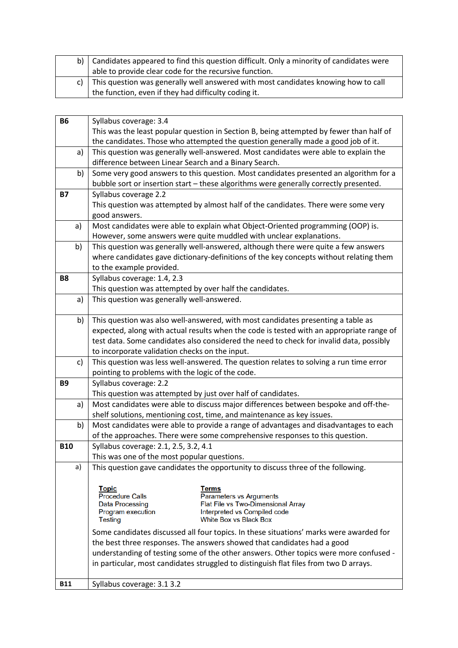| b)   Candidates appeared to find this question difficult. Only a minority of candidates were |
|----------------------------------------------------------------------------------------------|
| able to provide clear code for the recursive function.                                       |
| c) This question was generally well answered with most candidates knowing how to call        |
| the function, even if they had difficulty coding it.                                         |

| <b>B6</b>  | Syllabus coverage: 3.4                                                                   |
|------------|------------------------------------------------------------------------------------------|
|            | This was the least popular question in Section B, being attempted by fewer than half of  |
|            | the candidates. Those who attempted the question generally made a good job of it.        |
| a)         | This question was generally well-answered. Most candidates were able to explain the      |
|            | difference between Linear Search and a Binary Search.                                    |
| b)         | Some very good answers to this question. Most candidates presented an algorithm for a    |
|            | bubble sort or insertion start - these algorithms were generally correctly presented.    |
| <b>B7</b>  | Syllabus coverage 2.2                                                                    |
|            | This question was attempted by almost half of the candidates. There were some very       |
|            | good answers.                                                                            |
| a)         | Most candidates were able to explain what Object-Oriented programming (OOP) is.          |
|            | However, some answers were quite muddled with unclear explanations.                      |
| b)         | This question was generally well-answered, although there were quite a few answers       |
|            | where candidates gave dictionary-definitions of the key concepts without relating them   |
|            | to the example provided.                                                                 |
| <b>B8</b>  | Syllabus coverage: 1.4, 2.3                                                              |
|            | This question was attempted by over half the candidates.                                 |
| a)         | This question was generally well-answered.                                               |
|            |                                                                                          |
| b)         | This question was also well-answered, with most candidates presenting a table as         |
|            | expected, along with actual results when the code is tested with an appropriate range of |
|            | test data. Some candidates also considered the need to check for invalid data, possibly  |
|            | to incorporate validation checks on the input.                                           |
| c)         | This question was less well-answered. The question relates to solving a run time error   |
|            | pointing to problems with the logic of the code.                                         |
| <b>B9</b>  | Syllabus coverage: 2.2                                                                   |
|            | This question was attempted by just over half of candidates.                             |
| a)         | Most candidates were able to discuss major differences between bespoke and off-the-      |
|            | shelf solutions, mentioning cost, time, and maintenance as key issues.                   |
| b)         | Most candidates were able to provide a range of advantages and disadvantages to each     |
|            | of the approaches. There were some comprehensive responses to this question.             |
| <b>B10</b> | Syllabus coverage: 2.1, 2.5, 3.2, 4.1                                                    |
|            | This was one of the most popular questions.                                              |
| a)         | This question gave candidates the opportunity to discuss three of the following.         |
|            |                                                                                          |
|            | <b>Topic</b><br>Terms<br><b>Procedure Calls</b>                                          |
|            | Parameters vs Arguments<br>Flat File vs Two-Dimensional Array<br><b>Data Processing</b>  |
|            | Program execution<br>Interpreted vs Compiled code                                        |
|            | <b>White Box vs Black Box</b><br><b>Testing</b>                                          |
|            | Some candidates discussed all four topics. In these situations' marks were awarded for   |
|            | the best three responses. The answers showed that candidates had a good                  |
|            | understanding of testing some of the other answers. Other topics were more confused -    |
|            | in particular, most candidates struggled to distinguish flat files from two D arrays.    |
| <b>B11</b> | Syllabus coverage: 3.1 3.2                                                               |
|            |                                                                                          |